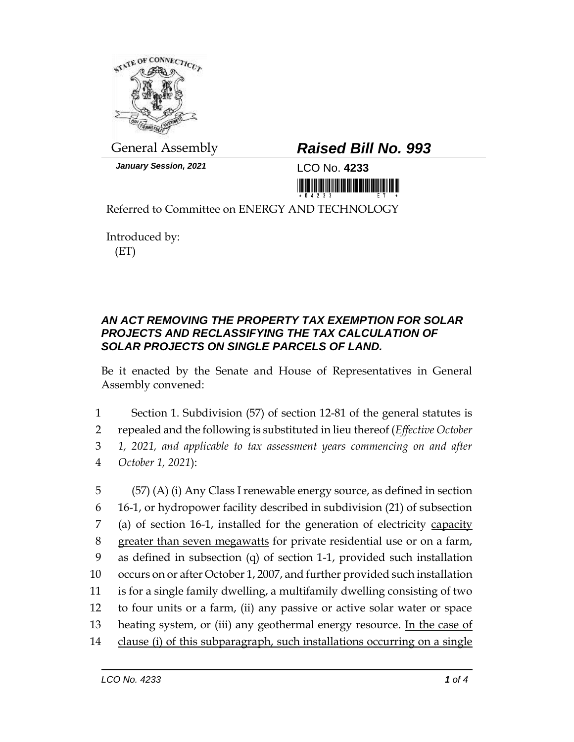

*January Session, 2021* LCO No. **4233**

## General Assembly *Raised Bill No. 993*

<u> III Martin Martin Martin Martin Martin Martin Martin Martin Martin Martin Martin Martin Martin Martin Martin </u>

Referred to Committee on ENERGY AND TECHNOLOGY

Introduced by: (ET)

## *AN ACT REMOVING THE PROPERTY TAX EXEMPTION FOR SOLAR PROJECTS AND RECLASSIFYING THE TAX CALCULATION OF SOLAR PROJECTS ON SINGLE PARCELS OF LAND.*

Be it enacted by the Senate and House of Representatives in General Assembly convened:

 Section 1. Subdivision (57) of section 12-81 of the general statutes is repealed and the following is substituted in lieu thereof (*Effective October 1, 2021, and applicable to tax assessment years commencing on and after October 1, 2021*):

 (57) (A) (i) Any Class I renewable energy source, as defined in section 16-1, or hydropower facility described in subdivision (21) of subsection (a) of section 16-1, installed for the generation of electricity capacity greater than seven megawatts for private residential use or on a farm, as defined in subsection (q) of section 1-1, provided such installation occurs on or after October 1, 2007, and further provided such installation is for a single family dwelling, a multifamily dwelling consisting of two to four units or a farm, (ii) any passive or active solar water or space 13 heating system, or (iii) any geothermal energy resource. In the case of clause (i) of this subparagraph, such installations occurring on a single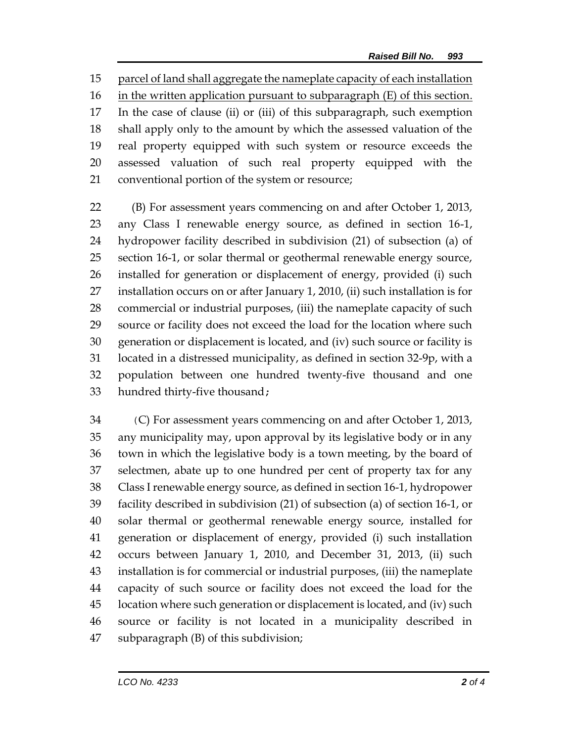parcel of land shall aggregate the nameplate capacity of each installation 16 in the written application pursuant to subparagraph (E) of this section. In the case of clause (ii) or (iii) of this subparagraph, such exemption shall apply only to the amount by which the assessed valuation of the real property equipped with such system or resource exceeds the assessed valuation of such real property equipped with the conventional portion of the system or resource;

 (B) For assessment years commencing on and after October 1, 2013, any Class I renewable energy source, as defined in section 16-1, hydropower facility described in subdivision (21) of subsection (a) of section 16-1, or solar thermal or geothermal renewable energy source, installed for generation or displacement of energy, provided (i) such installation occurs on or after January 1, 2010, (ii) such installation is for commercial or industrial purposes, (iii) the nameplate capacity of such source or facility does not exceed the load for the location where such generation or displacement is located, and (iv) such source or facility is located in a distressed municipality, as defined in section 32-9p, with a population between one hundred twenty-five thousand and one hundred thirty-five thousand;

 (C) For assessment years commencing on and after October 1, 2013, any municipality may, upon approval by its legislative body or in any town in which the legislative body is a town meeting, by the board of selectmen, abate up to one hundred per cent of property tax for any Class I renewable energy source, as defined in section 16-1, hydropower facility described in subdivision (21) of subsection (a) of section 16-1, or solar thermal or geothermal renewable energy source, installed for generation or displacement of energy, provided (i) such installation occurs between January 1, 2010, and December 31, 2013, (ii) such installation is for commercial or industrial purposes, (iii) the nameplate capacity of such source or facility does not exceed the load for the location where such generation or displacement is located, and (iv) such source or facility is not located in a municipality described in subparagraph (B) of this subdivision;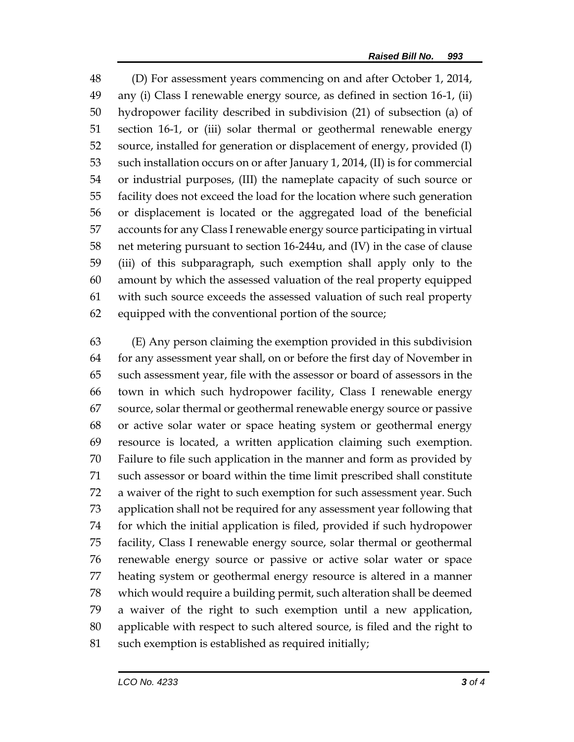(D) For assessment years commencing on and after October 1, 2014, any (i) Class I renewable energy source, as defined in section 16-1, (ii) hydropower facility described in subdivision (21) of subsection (a) of section 16-1, or (iii) solar thermal or geothermal renewable energy source, installed for generation or displacement of energy, provided (I) such installation occurs on or after January 1, 2014, (II) is for commercial or industrial purposes, (III) the nameplate capacity of such source or facility does not exceed the load for the location where such generation or displacement is located or the aggregated load of the beneficial accounts for any Class I renewable energy source participating in virtual net metering pursuant to section 16-244u, and (IV) in the case of clause (iii) of this subparagraph, such exemption shall apply only to the amount by which the assessed valuation of the real property equipped with such source exceeds the assessed valuation of such real property equipped with the conventional portion of the source;

 (E) Any person claiming the exemption provided in this subdivision for any assessment year shall, on or before the first day of November in such assessment year, file with the assessor or board of assessors in the town in which such hydropower facility, Class I renewable energy source, solar thermal or geothermal renewable energy source or passive or active solar water or space heating system or geothermal energy resource is located, a written application claiming such exemption. Failure to file such application in the manner and form as provided by such assessor or board within the time limit prescribed shall constitute a waiver of the right to such exemption for such assessment year. Such application shall not be required for any assessment year following that for which the initial application is filed, provided if such hydropower facility, Class I renewable energy source, solar thermal or geothermal renewable energy source or passive or active solar water or space heating system or geothermal energy resource is altered in a manner which would require a building permit, such alteration shall be deemed a waiver of the right to such exemption until a new application, applicable with respect to such altered source, is filed and the right to 81 such exemption is established as required initially;